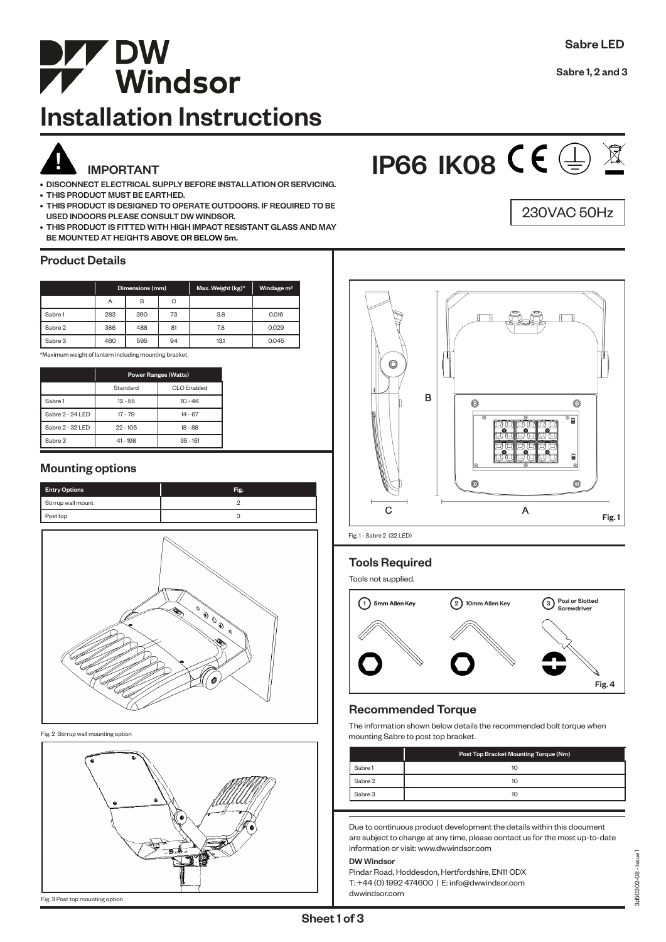

## Installation Instructions

- DISCONNECT ELECTRICAL SUPPLY BEFORE INSTALLATION OR SERVICING. • THIS PRODUCT MUST BE EARTHED.
- THIS PRODUCT IS DESIGNED TO OPERATE OUTDOORS. IF REQUIRED TO BE USED INDOORS PLEASE CONSULT DW WINDSOR.
- THIS PRODUCT IS FITTED WITH HIGH IMPACT RESISTANT GLASS AND MAY BE MOUNTED AT HEIGHTS ABOVE OR BELOW 5m.

## Product Details

|         | Dimensions (mm) |     |    | Max. Weight (kg)* | Windage <sub>m<sup>2</sup></sub> |
|---------|-----------------|-----|----|-------------------|----------------------------------|
|         | Α               | B   | С  |                   |                                  |
| Sabre 1 | 283             | 390 | 73 | 3.8               | 0.016                            |
| Sabre 2 | 386             | 488 | 81 | 7.8               | 0.029                            |
| Sabre 3 | 460             | 595 | 94 | 13.1              | 0.045                            |

\*Maximum weight of lantern including mounting bracket.

|                  | <b>Power Ranges (Watts)</b> |                    |  |
|------------------|-----------------------------|--------------------|--|
|                  | Standard                    | <b>CLO</b> Enabled |  |
| Sabre 1          | $12 - 55$                   | $10 - 46$          |  |
| Sabre 2 - 24 LED | $17 - 79$                   | $14 - 67$          |  |
| Sabre 2 - 32 LED | $22 - 105$                  | $18 - 88$          |  |
| Sabre 3          | $41 - 198$                  | $35 - 151$         |  |

## Mounting options

| <b>Entry Options</b> | Fig. |
|----------------------|------|
| Stirrup wall mount   |      |
| Post top             |      |



Fig. 2 Stirrup wall mounting option



```
IP66 IK08 CE \oplus X
```




Fig. 1 - Sabre 2 (32 LED)

## Tools Required

Tools not supplied.



## Recommended Torque

The information shown below details the recommended bolt torque when mounting Sabre to post top bracket.

|         | Post Top Bracket Mounting Torque (Nm) |
|---------|---------------------------------------|
| Sabre 1 | 10                                    |
| Sabre 2 | 10                                    |
| Sabre 3 | 10                                    |

Due to continuous product development the details within this document are subject to change at any time, please contact us for the most up-to-date information or visit: www.dwwindsor.com

#### DW Windsor

Pindar Road, Hoddesdon, Hertfordshire, EN11 ODX T: +44 (0) 1992 474600 | E: info@dwwindsor.com dwwindsor.com

Fig. 3 Post top mounting option

Sabre 1, 2 and 3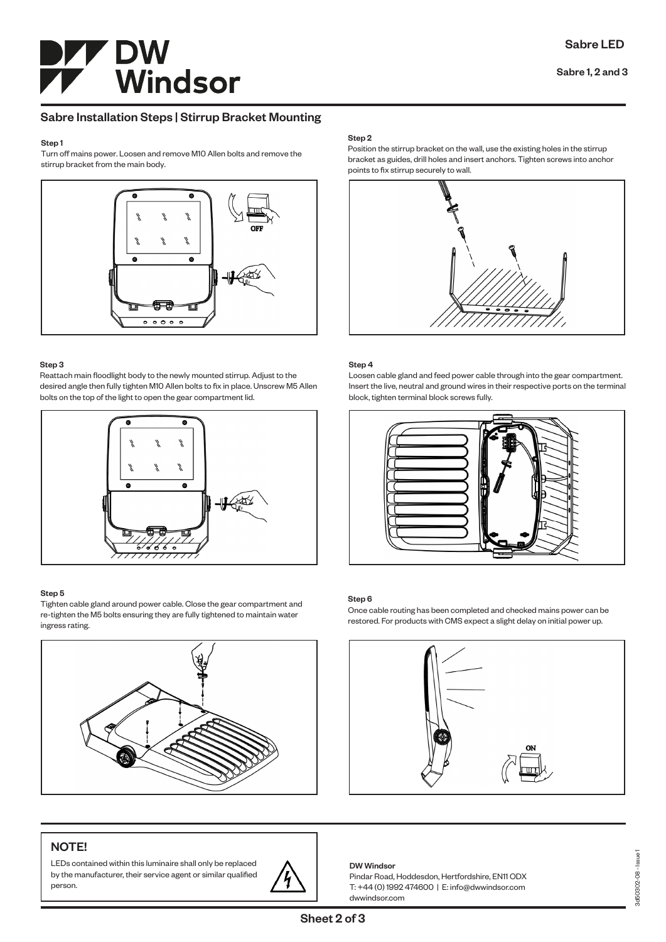# **DW<br>Windsor**

## Sabre Installation Steps | Stirrup Bracket Mounting

#### Step 1

Turn off mains power. Loosen and remove M10 Allen bolts and remove the stirrup bracket from the main body.



#### Step 3

Reattach main floodlight body to the newly mounted stirrup. Adjust to the desired angle then fully tighten M10 Allen bolts to fix in place. Unscrew M5 Allen bolts on the top of the light to open the gear compartment lid.



## Step 5

Tighten cable gland around power cable. Close the gear compartment and re-tighten the M5 bolts ensuring they are fully tightened to maintain water ingress rating.



## Step 2

Position the stirrup bracket on the wall, use the existing holes in the stirrup bracket as guides, drill holes and insert anchors. Tighten screws into anchor points to fix stirrup securely to wall.



## Step 4

Loosen cable gland and feed power cable through into the gear compartment. Insert the live, neutral and ground wires in their respective ports on the terminal block, tighten terminal block screws fully.



## Step 6

Once cable routing has been completed and checked mains power can be restored. For products with CMS expect a slight delay on initial power up.



## NOTE!

LEDs contained within this luminaire shall only be replaced by the manufacturer, their service agent or similar qualified person.



#### DW Windsor

Sheet 2 of 3

Pindar Road, Hoddesdon, Hertfordshire, EN11 ODX T: +44 (0) 1992 474600 | E: info@dwwindsor.com dwwindsor.com